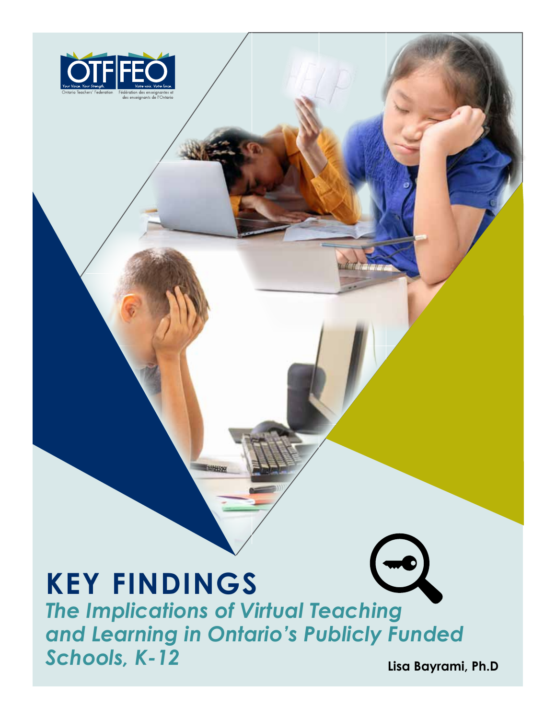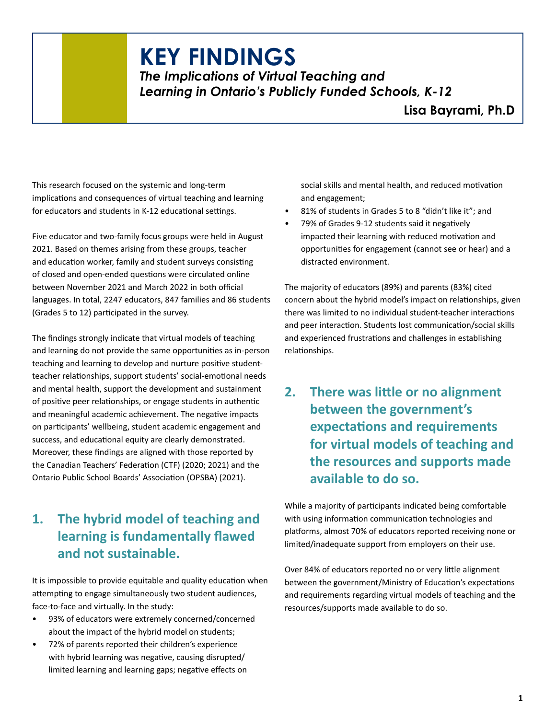## **K**Schools, Austerity and Privatization in the Pandemic Era **EY FINDINGS**

*The Implications of Virtual Teaching and Learning in Ontario's Publicly Funded Schools, K-12*

This research focused on the systemic and long-term implications and consequences of virtual teaching and learning for educators and students in K-12 educational settings.

Five educator and two-family focus groups were held in August 2021. Based on themes arising from these groups, teacher and education worker, family and student surveys consisting of closed and open-ended questions were circulated online between November 2021 and March 2022 in both official languages. In total, 2247 educators, 847 families and 86 students (Grades 5 to 12) participated in the survey.

The findings strongly indicate that virtual models of teaching and learning do not provide the same opportunities as in-person teaching and learning to develop and nurture positive studentteacher relationships, support students' social-emotional needs and mental health, support the development and sustainment of positive peer relationships, or engage students in authentic and meaningful academic achievement. The negative impacts on participants' wellbeing, student academic engagement and success, and educational equity are clearly demonstrated. Moreover, these findings are aligned with those reported by the Canadian Teachers' Federation (CTF) (2020; 2021) and the Ontario Public School Boards' Association (OPSBA) (2021).

## **1. The hybrid model of teaching and learning is fundamentally flawed and not sustainable.**

It is impossible to provide equitable and quality education when attempting to engage simultaneously two student audiences, face-to-face and virtually. In the study:

- 93% of educators were extremely concerned/concerned about the impact of the hybrid model on students;
- 72% of parents reported their children's experience with hybrid learning was negative, causing disrupted/ limited learning and learning gaps; negative effects on

social skills and mental health, and reduced motivation and engagement;

- 81% of students in Grades 5 to 8 "didn't like it"; and
- 79% of Grades 9-12 students said it negatively impacted their learning with reduced motivation and opportunities for engagement (cannot see or hear) and a distracted environment.

The majority of educators (89%) and parents (83%) cited concern about the hybrid model's impact on relationships, given there was limited to no individual student-teacher interactions and peer interaction. Students lost communication/social skills and experienced frustrations and challenges in establishing relationships.

**2. There was little or no alignment between the government's expectations and requirements for virtual models of teaching and the resources and supports made available to do so.**

While a majority of participants indicated being comfortable with using information communication technologies and platforms, almost 70% of educators reported receiving none or limited/inadequate support from employers on their use.

Over 84% of educators reported no or very little alignment between the government/Ministry of Education's expectations and requirements regarding virtual models of teaching and the resources/supports made available to do so.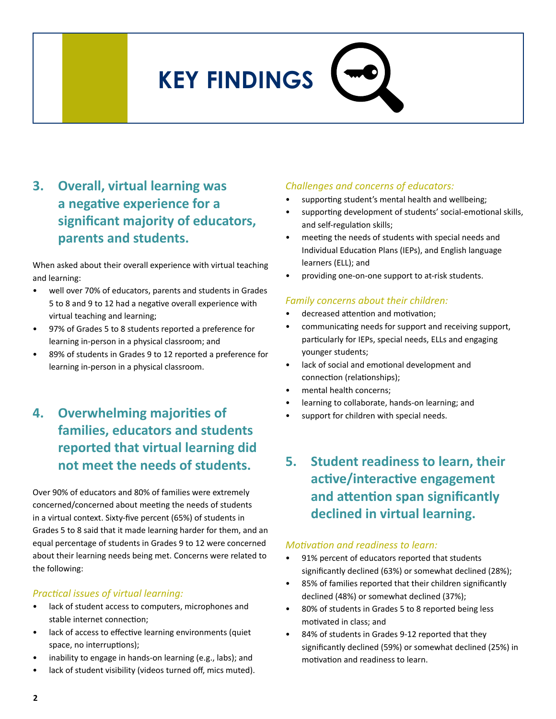# Schools, Austerity and Privatization in the Pandemic Era **KEY FINDINGS**

## **3. Overall, virtual learning was a negative experience for a significant majority of educators, parents and students.**

When asked about their overall experience with virtual teaching and learning:

- well over 70% of educators, parents and students in Grades 5 to 8 and 9 to 12 had a negative overall experience with virtual teaching and learning;
- 97% of Grades 5 to 8 students reported a preference for learning in-person in a physical classroom; and
- 89% of students in Grades 9 to 12 reported a preference for learning in-person in a physical classroom.

## **4. Overwhelming majorities of families, educators and students reported that virtual learning did not meet the needs of students.**

Over 90% of educators and 80% of families were extremely concerned/concerned about meeting the needs of students in a virtual context. Sixty-five percent (65%) of students in Grades 5 to 8 said that it made learning harder for them, and an equal percentage of students in Grades 9 to 12 were concerned about their learning needs being met. Concerns were related to the following:

#### *Practical issues of virtual learning:*

- lack of student access to computers, microphones and stable internet connection;
- lack of access to effective learning environments (quiet space, no interruptions);
- inability to engage in hands-on learning (e.g., labs); and
- lack of student visibility (videos turned off, mics muted).

#### *Challenges and concerns of educators:*

- supporting student's mental health and wellbeing;
- supporting development of students' social-emotional skills, and self-regulation skills;
- meeting the needs of students with special needs and Individual Education Plans (IEPs), and English language learners (ELL); and
- providing one-on-one support to at-risk students.

#### *Family concerns about their children:*

- decreased attention and motivation;
- communicating needs for support and receiving support, particularly for IEPs, special needs, ELLs and engaging younger students;
- lack of social and emotional development and connection (relationships);
- mental health concerns;
- learning to collaborate, hands-on learning; and
- support for children with special needs.
- **5. Student readiness to learn, their active/interactive engagement and attention span significantly declined in virtual learning.**

#### *Motivation and readiness to learn:*

- 91% percent of educators reported that students significantly declined (63%) or somewhat declined (28%);
- 85% of families reported that their children significantly declined (48%) or somewhat declined (37%);
- 80% of students in Grades 5 to 8 reported being less motivated in class; and
- 84% of students in Grades 9-12 reported that they significantly declined (59%) or somewhat declined (25%) in motivation and readiness to learn.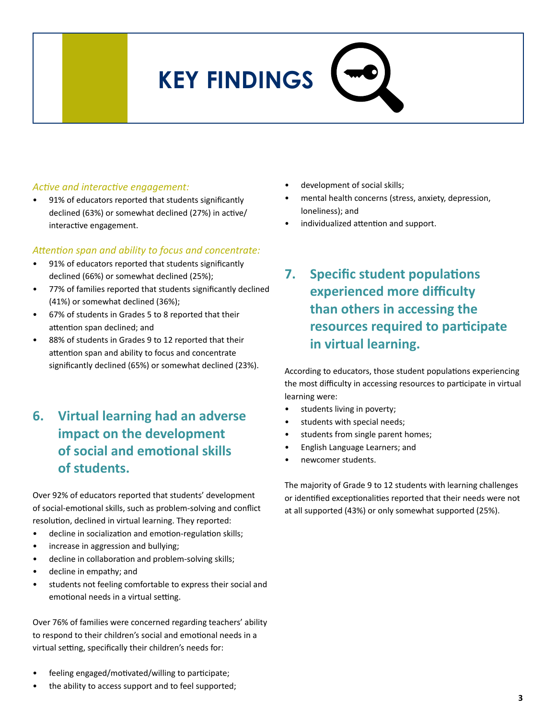## Schools, Austerity and Privatization in the Pandemic Era **KEY FINDINGS**

#### *Active and interactive engagement:*

91% of educators reported that students significantly declined (63%) or somewhat declined (27%) in active/ interactive engagement.

#### *Attention span and ability to focus and concentrate:*

- 91% of educators reported that students significantly declined (66%) or somewhat declined (25%);
- 77% of families reported that students significantly declined (41%) or somewhat declined (36%);
- 67% of students in Grades 5 to 8 reported that their attention span declined; and
- 88% of students in Grades 9 to 12 reported that their attention span and ability to focus and concentrate significantly declined (65%) or somewhat declined (23%).
- **6. Virtual learning had an adverse impact on the development of social and emotional skills of students.**

Over 92% of educators reported that students' development of social-emotional skills, such as problem-solving and conflict resolution, declined in virtual learning. They reported:

- decline in socialization and emotion-regulation skills;
- increase in aggression and bullying;
- decline in collaboration and problem-solving skills;
- decline in empathy; and
- students not feeling comfortable to express their social and emotional needs in a virtual setting.

Over 76% of families were concerned regarding teachers' ability to respond to their children's social and emotional needs in a virtual setting, specifically their children's needs for:

- feeling engaged/motivated/willing to participate;
- the ability to access support and to feel supported;
- development of social skills;
- mental health concerns (stress, anxiety, depression, loneliness); and
- individualized attention and support.
- **7. Specific student populations experienced more difficulty than others in accessing the resources required to participate in virtual learning.**

According to educators, those student populations experiencing the most difficulty in accessing resources to participate in virtual learning were:

- students living in poverty;
- students with special needs;
- students from single parent homes;
- English Language Learners; and
- newcomer students.

The majority of Grade 9 to 12 students with learning challenges or identified exceptionalities reported that their needs were not at all supported (43%) or only somewhat supported (25%).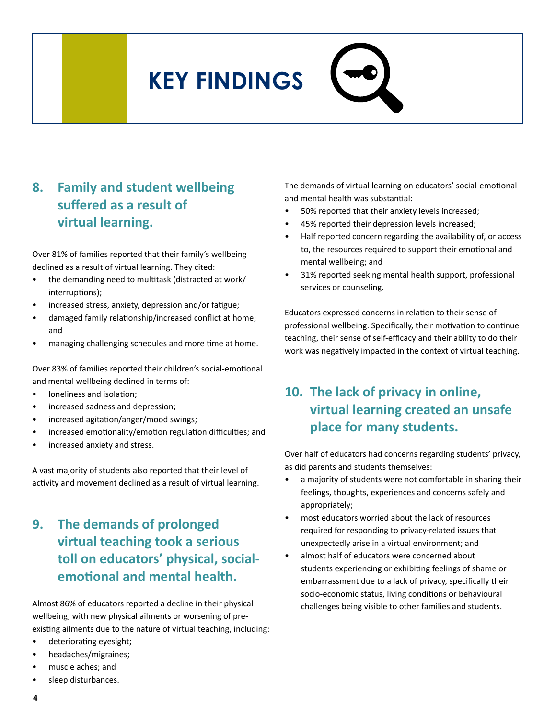## Schools, Austerity and Privatization in the Pandemic Era **KEY FINDINGS**

### **8. Family and student wellbeing suffered as a result of virtual learning.**

Over 81% of families reported that their family's wellbeing declined as a result of virtual learning. They cited:

- the demanding need to multitask (distracted at work/ interruptions);
- increased stress, anxiety, depression and/or fatigue;
- damaged family relationship/increased conflict at home; and
- managing challenging schedules and more time at home.

Over 83% of families reported their children's social-emotional and mental wellbeing declined in terms of:

- loneliness and isolation;
- increased sadness and depression;
- increased agitation/anger/mood swings;
- increased emotionality/emotion regulation difficulties; and
- increased anxiety and stress.

A vast majority of students also reported that their level of activity and movement declined as a result of virtual learning.

## **9. The demands of prolonged virtual teaching took a serious toll on educators' physical, socialemotional and mental health.**

Almost 86% of educators reported a decline in their physical wellbeing, with new physical ailments or worsening of preexisting ailments due to the nature of virtual teaching, including:

- deteriorating eyesight;
- headaches/migraines;
- muscle aches; and
- sleep disturbances.

The demands of virtual learning on educators' social-emotional and mental health was substantial:

- 50% reported that their anxiety levels increased;
- 45% reported their depression levels increased;
- Half reported concern regarding the availability of, or access to, the resources required to support their emotional and mental wellbeing; and
- 31% reported seeking mental health support, professional services or counseling.

Educators expressed concerns in relation to their sense of professional wellbeing. Specifically, their motivation to continue teaching, their sense of self-efficacy and their ability to do their work was negatively impacted in the context of virtual teaching.

### **10. The lack of privacy in online, virtual learning created an unsafe place for many students.**

Over half of educators had concerns regarding students' privacy, as did parents and students themselves:

- a majority of students were not comfortable in sharing their feelings, thoughts, experiences and concerns safely and appropriately;
- most educators worried about the lack of resources required for responding to privacy-related issues that unexpectedly arise in a virtual environment; and
- almost half of educators were concerned about students experiencing or exhibiting feelings of shame or embarrassment due to a lack of privacy, specifically their socio-economic status, living conditions or behavioural challenges being visible to other families and students.